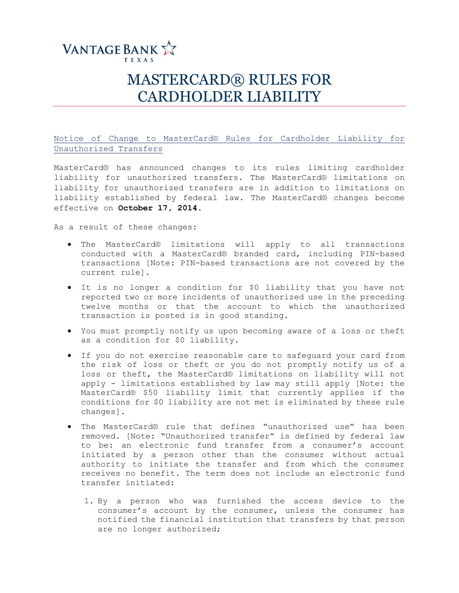

## MASTERCARD® RULES FOR CARDHOLDER LIABILITY

Notice of Change to MasterCard® Rules for Cardholder Liability for Unauthorized Transfers

MasterCard® has announced changes to its rules limiting cardholder liability for unauthorized transfers. The MasterCard® limitations on liability for unauthorized transfers are in addition to limitations on liability established by federal law. The MasterCard® changes become effective on **October 17, 2014**.

As a result of these changes:

- The MasterCard® limitations will apply to all transactions conducted with a MasterCard® branded card, including PIN-based transactions [Note: PIN-based transactions are not covered by the current rule].
- It is no longer a condition for \$0 liability that you have not reported two or more incidents of unauthorized use in the preceding twelve months or that the account to which the unauthorized transaction is posted is in good standing.
- You must promptly notify us upon becoming aware of a loss or theft as a condition for \$0 liability.
- If you do not exercise reasonable care to safeguard your card from the risk of loss or theft or you do not promptly notify us of a loss or theft, the MasterCard® limitations on liability will not apply - limitations established by law may still apply [Note: the MasterCard® \$50 liability limit that currently applies if the conditions for \$0 liability are not met is eliminated by these rule changes].
- The MasterCard® rule that defines "unauthorized use" has been removed. [Note: "Unauthorized transfer" is defined by federal law to be: an electronic fund transfer from a consumer's account initiated by a person other than the consumer without actual authority to initiate the transfer and from which the consumer receives no benefit. The term does not include an electronic fund transfer initiated:
	- 1. By a person who was furnished the access device to the consumer's account by the consumer, unless the consumer has notified the financial institution that transfers by that person are no longer authorized;